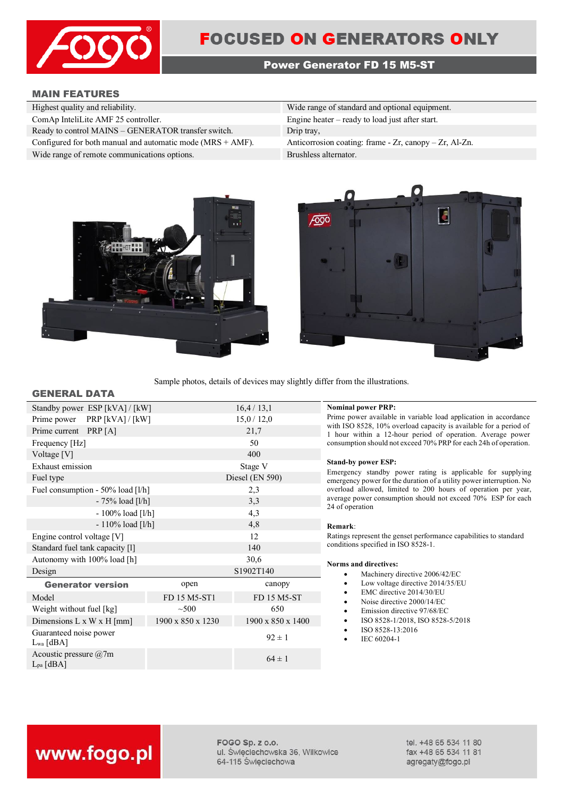

# **Power Generator FD 15 M5-ST**

# **MAIN FEATURES**

| Wide range of standard and optional equipment.               |
|--------------------------------------------------------------|
| Engine heater $-$ ready to load just after start.            |
| Drip tray,                                                   |
| Anticorrosion coating: frame - $Zr$ , canopy - $Zr$ , Al-Zn. |
| Brushless alternator.                                        |
|                                                              |





Sample photos, details of devices may slightly differ from the illustrations.

### **GENERAL DATA**

| Standby power ESP [kVA] / [kW]           |                   | 16,4/13,1                     |
|------------------------------------------|-------------------|-------------------------------|
| PRP $[kVA] / [kW]$<br>Prime power        |                   | 15,0/12,0                     |
| Prime current PRP [A]                    |                   | 21,7                          |
| Frequency [Hz]                           |                   | 50                            |
| Voltage [V]                              |                   | 400                           |
| Exhaust emission                         |                   | Stage V                       |
| Fuel type                                |                   | Diesel (EN 590)               |
| Fuel consumption - 50% load [1/h]        |                   | 2,3                           |
| $-75%$ load [l/h]                        |                   | 3,3                           |
| $-100\%$ load [l/h]                      |                   | 4,3                           |
| $-110\%$ load [l/h]                      |                   | 4,8                           |
| Engine control voltage [V]               |                   | 12                            |
| Standard fuel tank capacity [1]          |                   | 140                           |
| Autonomy with 100% load [h]              |                   | 30,6                          |
| Design                                   |                   | S1902T140                     |
| <b>Generator version</b>                 | open              | canopy                        |
| Model                                    | FD 15 M5-ST1      | FD 15 M5-ST                   |
| Weight without fuel [kg]                 | $\sim 500$        | 650                           |
| Dimensions $L \times W \times H$ [mm]    | 1900 x 850 x 1230 | $1900 \times 850 \times 1400$ |
| Guaranteed noise power<br>$L_{wa}$ [dBA] |                   | $92 \pm 1$                    |
| Acoustic pressure @7m<br>$L_{pa}$ [dBA]  |                   | $64 \pm 1$                    |
|                                          |                   |                               |

Standby power ESP [kVA] / [kW] 16,4 / 13,1 **Nominal power PRP:** Prime power available in variable load application in accordance with ISO 8528, 10% overload capacity is available for a period of 1 hour within a 12-hour period of operation. Average power consumption should not exceed 70% PRP for each 24h of operation.

#### **Stand-by power ESP:**

Emergency standby power rating is applicable for supplying emergency power for the duration of a utility power interruption. No overload allowed, limited to 200 hours of operation per year, average power consumption should not exceed 70% ESP for each 24 of operation

#### **Remark**:

Ratings represent the genset performance capabilities to standard conditions specified in ISO 8528-1.

#### **Norms and directives:**

- Machinery directive 2006/42/EC
- Low voltage directive 2014/35/EU
- EMC directive 2014/30/EU
- Noise directive 2000/14/EC
- Emission directive 97/68/EC
- ISO 8528-1/2018, ISO 8528-5/2018
- ISO 8528-13:2016
- IEC 60204-1

# www.fogo.pl

FOGO Sp. z o.o. ul. Świeciechowska 36, Wilkowice 64-115 Święciechowa

tel. +48 65 534 11 80 fax +48 65 534 11 81 agregaty@fogo.pl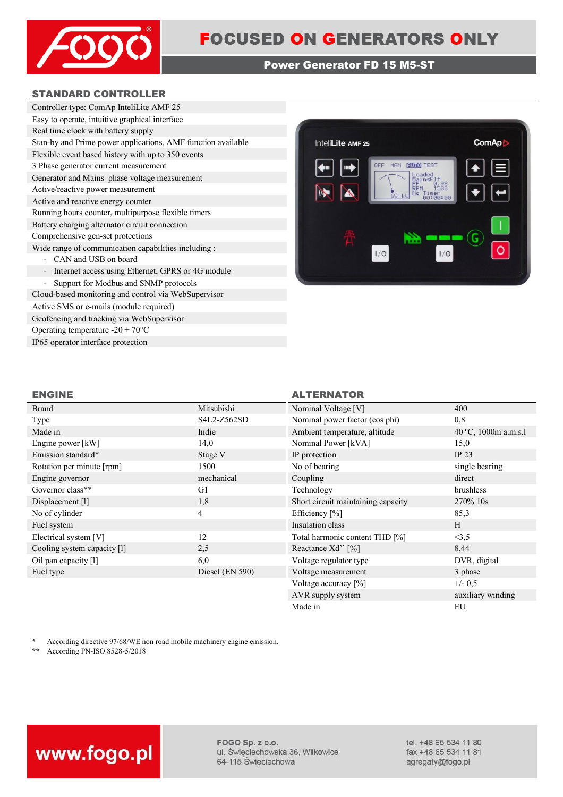

# **Power Generator FD 15 M5-ST**

# **STANDARD CONTROLLER**

| Controller type: ComAp InteliLite AMF 25                     |
|--------------------------------------------------------------|
| Easy to operate, intuitive graphical interface               |
| Real time clock with battery supply                          |
| Stan-by and Prime power applications, AMF function available |
| Flexible event based history with up to 350 events           |
| 3 Phase generator current measurement                        |
| Generator and Mains phase voltage measurement                |
| Active/reactive power measurement                            |
| Active and reactive energy counter                           |
| Running hours counter, multipurpose flexible timers          |
| Battery charging alternator circuit connection               |
| Comprehensive gen-set protections                            |
| Wide range of communication capabilities including :         |
| - CAN and USB on board                                       |
| Internet access using Ethernet, GPRS or 4G module            |
| Support for Modbus and SNMP protocols                        |
| Cloud-based monitoring and control via WebSupervisor         |

Active SMS or e-mails (module required) Geofencing and tracking via WebSupervisor Operating temperature -20 + 70°C IP65 operator interface protection



| Brand                       | Mitsubishi      | Nominal Voltage [V]                | 400                  |
|-----------------------------|-----------------|------------------------------------|----------------------|
| Type                        | S4L2-Z562SD     | Nominal power factor (cos phi)     | 0,8                  |
| Made in                     | Indie           | Ambient temperature, altitude      | 40 °C, 1000m a.m.s.1 |
| Engine power [kW]           | 14,0            | Nominal Power [kVA]                | 15,0                 |
| Emission standard*          | Stage V         | IP protection                      | IP $23$              |
| Rotation per minute [rpm]   | 1500            | No of bearing                      | single bearing       |
| Engine governor             | mechanical      | Coupling                           | direct               |
| Governor class**            | G1              | Technology                         | brushless            |
| Displacement [1]            | 1,8             | Short circuit maintaining capacity | 270% 10s             |
| No of cylinder              | 4               | Efficiency $[\%]$                  | 85,3                 |
| Fuel system                 |                 | Insulation class                   | H                    |
| Electrical system [V]       | 12              | Total harmonic content THD [%]     | <3,5                 |
| Cooling system capacity [1] | 2,5             | Reactance Xd'' [%]                 | 8,44                 |
| Oil pan capacity [1]        | 6,0             | Voltage regulator type             | DVR, digital         |
| Fuel type                   | Diesel (EN 590) | Voltage measurement                | 3 phase              |
|                             |                 | Voltage accuracy [%]               | $+/- 0.5$            |
|                             |                 | AVR supply system                  | auxiliary winding    |

**ENGINE ALTERNATOR**

\* According directive 97/68/WE non road mobile machinery engine emission.<br>\* According PN ISO 8528 5/2018

**\*\*** According PN-ISO 8528-5/2018



FOGO Sp. z o.o. ul. Świeciechowska 36, Wilkowice 64-115 Święciechowa

tel. +48 65 534 11 80 fax +48 65 534 11 81 agregaty@fogo.pl

Made in EU